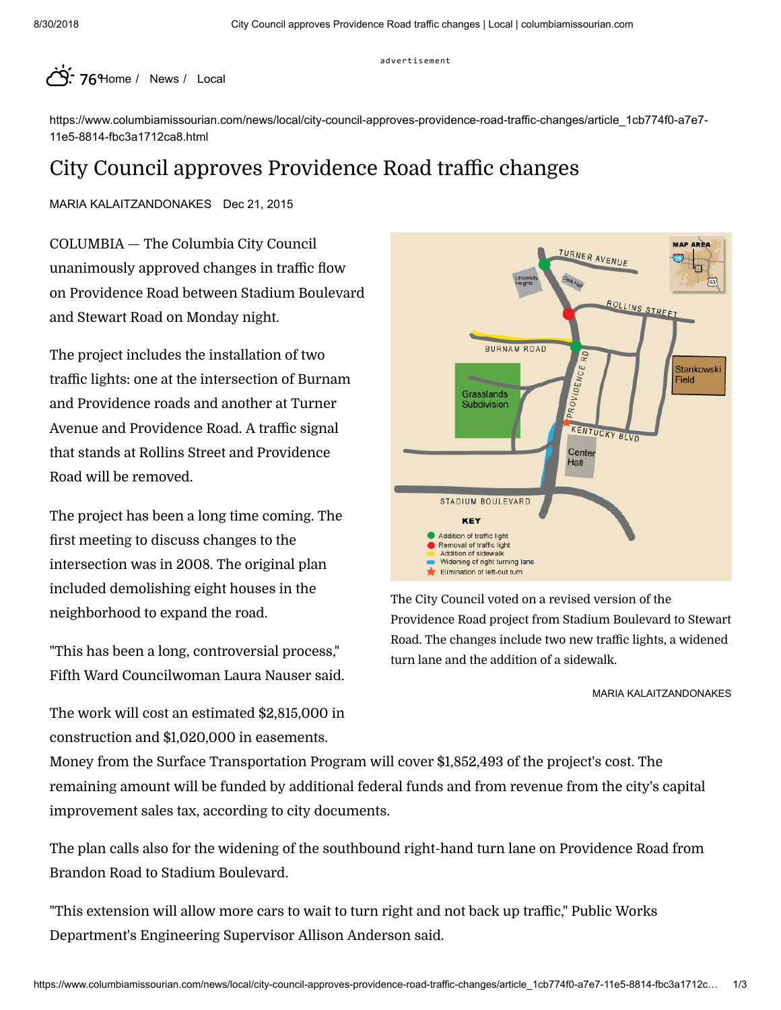advertisement



https://www.columbiamissourian.com/news/local/city-council-approves-providence-road-traffic-changes/article\_1cb774f0-a7e7- 11e5-8814-fbc3a1712ca8.html

# City Council approves Providence Road traffic changes

[MARIA KALAITZANDONAKES](https://www.columbiamissourian.com/users/profile/MariaKalaitz) Dec 21, 2015

COLUMBIA — The Columbia City Council unanimously approved changes in traffic flow on Providence Road between Stadium Boulevard and Stewart Road on Monday night.

The project includes the installation of two traffic lights: one at the intersection of Burnam and Providence roads and another at Turner Avenue and Providence Road. A traffic signal that stands at Rollins Street and Providence Road will be removed.

The project has been a long time coming. The first meeting to discuss changes to the intersection was in 2008. The original plan included demolishing eight houses in the neighborhood to expand the road.

"This has been a long, controversial process," Fifth Ward Councilwoman Laura Nauser said.

The work will cost an estimated \$2,815,000 in construction and \$1,020,000 in easements.



The City Council voted on a revised version of the Providence Road project from Stadium Boulevard to Stewart Road. The changes include two new traffic lights, a widened turn lane and the addition of a sidewalk.

[MARIA KALAITZANDONAKES](https://www.columbiamissourian.com/users/profile/MariaKalaitz)

Money from the Surface [Transportation](https://www.fhwa.dot.gov/specialfunding/stp/) Program will cover \$1,852,493 of the project's cost. The remaining amount will be funded by additional federal funds and from revenue from the city's capital improvement sales tax, according to city documents.

The plan calls also for the widening of the southbound right-hand turn lane on Providence Road from Brandon Road to Stadium Boulevard.

"This extension will allow more cars to wait to turn right and not back up traffic," Public Works Department's Engineering Supervisor Allison Anderson said.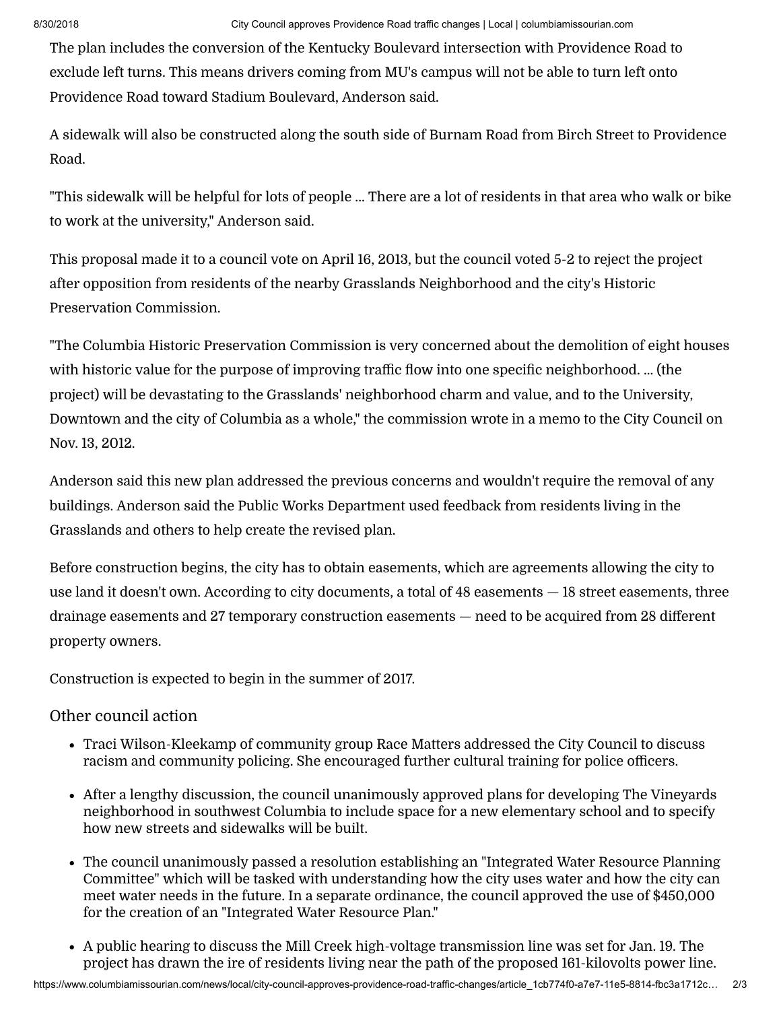The plan includes the conversion of the Kentucky Boulevard intersection with Providence Road to exclude left turns. This means drivers coming from MU's campus will not be able to turn left onto Providence Road toward Stadium Boulevard, Anderson said.

A sidewalk will also be constructed along the south side of Burnam Road from Birch Street to Providence Road.

"This sidewalk will be helpful for lots of people ... There are a lot of residents in that area who walk or bike to work at the university," Anderson said.

This proposal made it to a council vote on April 16, 2013, but the [council](http://www.columbiamissourian.com/news/city-council-votes-to-rescind-approval-of-providence-road-grasslands/article_e0da7a4e-09d1-5cb8-b6ca-28bdb210f619.html) voted 5-2 to reject the project after opposition from residents of the nearby Grasslands Neighborhood and the city's Historic Preservation Commission.

"The Columbia Historic Preservation Commission is very concerned about the demolition of eight houses with historic value for the purpose of improving traffic flow into one specific neighborhood. ... (the project) will be devastating to the Grasslands' neighborhood charm and value, and to the University, Downtown and the city of Columbia as a whole," the [commission](http://www.gocolumbiamo.com/Council/Commissions/downloadfile.php?id=7233) wrote in a memo to the City Council on Nov. 13, 2012.

Anderson said this new plan addressed the previous concerns and wouldn't require the removal of any buildings. Anderson said the Public Works Department used feedback from residents living in the Grasslands and others to help create the revised plan.

Before construction begins, the city has to obtain easements, which are agreements allowing the city to use land it doesn't own. According to city documents, a total of 48 easements — 18 street easements, three drainage easements and 27 temporary construction easements  $-$  need to be acquired from 28 different property owners.

Construction is expected to begin in the summer of 2017.

## Other council action

- Traci Wilson-Kleekamp of community group Race Matters addressed the City Council to discuss racism and community policing. She encouraged further cultural training for police officers.
- After a lengthy discussion, the council unanimously approved plans for developing The Vineyards [neighborhood](http://www.columbiamissourian.com/news/local/plan-for-new-roads-school-space-approved-by-city-council/article_af959708-a83b-11e5-8471-0b3d7551e024.html) in southwest Columbia to include space for a new elementary school and to specify how new streets and sidewalks will be built.
- The council unanimously passed a resolution establishing an "Integrated Water Resource Planning Committee" which will be tasked with [understanding](http://www.gocolumbiamo.com/Council/Commissions/downloadfile.php?id=20088) how the city uses water and how the city can meet water needs in the future. In a separate [ordinance,](http://www.gocolumbiamo.com/Council/Commissions/downloadfile.php?id=20077) the council approved the use of \$450,000 for the creation of an "Integrated Water Resource Plan."
- A public hearing to discuss the Mill Creek high-voltage transmission line was set for Jan. 19. The project has drawn the ire of residents living near the path of the proposed 161-kilovolts power line.